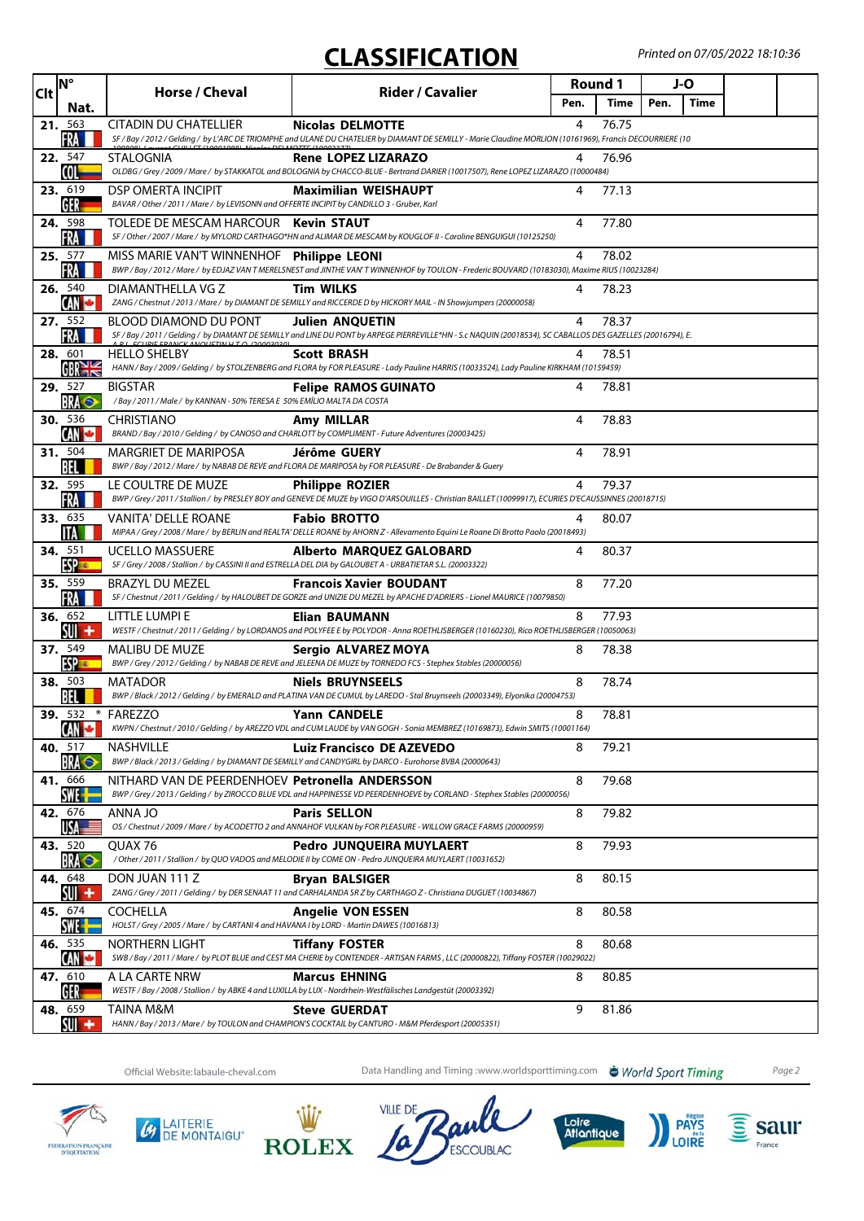## **CLASSIFICATION**

|            | N°<br>Nat.                     | Horse / Cheval                                                                                                   | <b>Rider / Cavalier</b>                                                                                                                                                                | Round 1 |       |      | J-O  |  |
|------------|--------------------------------|------------------------------------------------------------------------------------------------------------------|----------------------------------------------------------------------------------------------------------------------------------------------------------------------------------------|---------|-------|------|------|--|
| <b>Clt</b> |                                |                                                                                                                  |                                                                                                                                                                                        | Pen.    | Time  | Pen. | Time |  |
|            | 21. 563<br>FRA                 | <b>CITADIN DU CHATELLIER</b>                                                                                     | <b>Nicolas DELMOTTE</b><br>SF / Bay / 2012 / Gelding / by L'ARC DE TRIOMPHE and ULANE DU CHATELIER by DIAMANT DE SEMILLY - Marie Claudine MORLION (10161969), Francis DECOURRIERE (10  | 4       | 76.75 |      |      |  |
|            | 22. 547                        | STALOGNIA                                                                                                        | Rene LOPEZ LIZARAZO                                                                                                                                                                    | 4       | 76.96 |      |      |  |
|            | COL.                           |                                                                                                                  | OLDBG / Grey / 2009 / Mare / by STAKKATOL and BOLOGNIA by CHACCO-BLUE - Bertrand DARIER (10017507), Rene LOPEZ LIZARAZO (10000484)                                                     |         |       |      |      |  |
|            | 23. 619<br>GER                 | DSP OMERTA INCIPIT<br>BAVAR / Other / 2011 / Mare / by LEVISONN and OFFERTE INCIPIT by CANDILLO 3 - Gruber, Karl | <b>Maximilian WEISHAUPT</b>                                                                                                                                                            | 4       | 77.13 |      |      |  |
|            | 24. 598<br>FRA                 | TOLEDE DE MESCAM HARCOUR Kevin STAUT                                                                             | SF / Other / 2007 / Mare / by MYLORD CARTHAGO*HN and ALIMAR DE MESCAM by KOUGLOF II - Caroline BENGUIGUI (10125250)                                                                    | 4       | 77.80 |      |      |  |
|            | 25. 577<br>FRA                 | MISS MARIE VAN'T WINNENHOF Philippe LEONI                                                                        | BWP / Bay / 2012 / Mare / by EDJAZ VAN T MERELSNEST and JINTHE VAN'T WINNENHOF by TOULON - Frederic BOUVARD (10183030), Maxime RIUS (10023284)                                         | 4       | 78.02 |      |      |  |
|            | 26. 540<br>CAN C               | DIAMANTHELLA VG Z                                                                                                | <b>Tim WILKS</b><br>ZANG / Chestnut / 2013 / Mare / by DIAMANT DE SEMILLY and RICCERDE D by HICKORY MAIL - IN Showjumpers (20000058)                                                   | 4       | 78.23 |      |      |  |
|            | 27. 552<br>FRA                 | BLOOD DIAMOND DU PONT                                                                                            | <b>Julien ANQUETIN</b><br>SF / Bay / 2011 / Gelding / by DIAMANT DE SEMILLY and LINE DU PONT by ARPEGE PIERREVILLE*HN - S.c NAQUIN (20018534), SC CABALLOS DES GAZELLES (20016794), E. | 4       | 78.37 |      |      |  |
|            | 28. 601<br>GR <sub>1</sub>     | <b>HELLO SHELBY</b>                                                                                              | <b>Scott BRASH</b><br>HANN / Bay / 2009 / Gelding / by STOLZENBERG and FLORA by FOR PLEASURE - Lady Pauline HARRIS (10033524), Lady Pauline KIRKHAM (10159459)                         | 4       | 78.51 |      |      |  |
|            | 29. 527<br><b>BRA</b>          | <b>BIGSTAR</b><br>/Bay / 2011 / Male / by KANNAN - 50% TERESA E 50% EMÍLIO MALTA DA COSTA                        | <b>Felipe RAMOS GUINATO</b>                                                                                                                                                            | 4       | 78.81 |      |      |  |
|            | 30. 536<br>CAN C               | CHRISTIANO                                                                                                       | Amy MILLAR<br>BRAND / Bay / 2010 / Gelding / by CANOSO and CHARLOTT by COMPLIMENT - Future Adventures (20003425)                                                                       | 4       | 78.83 |      |      |  |
|            | 31. 504<br>BEL                 | <b>MARGRIET DE MARIPOSA</b>                                                                                      | Jérôme GUERY<br>BWP / Bay / 2012 / Mare / by NABAB DE REVE and FLORA DE MARIPOSA by FOR PLEASURE - De Brabander & Guery                                                                | 4       | 78.91 |      |      |  |
|            | 32. 595<br>FRA                 | LE COULTRE DE MUZE                                                                                               | <b>Philippe ROZIER</b><br>BWP / Grey / 2011 / Stallion / by PRESLEY BOY and GENEVE DE MUZE by VIGO D'ARSOUILLES - Christian BAILLET (10099917), ECURIES D'ECAUSSINNES (20018715)       | 4       | 79.37 |      |      |  |
|            | 33. 635<br>ITA                 | <b>VANITA' DELLE ROANE</b>                                                                                       | <b>Fabio BROTTO</b><br>MIPAA / Grey / 2008 / Mare / by BERLIN and REALTA' DELLE ROANE by AHORN Z - Allevamento Equini Le Roane Di Brotto Paolo (20018493)                              | 4       | 80.07 |      |      |  |
|            | 34. 551<br><b>ESPIRE</b>       | UCELLO MASSUERE                                                                                                  | Alberto MARQUEZ GALOBARD<br>SF / Grey / 2008 / Stallion / by CASSINI II and ESTRELLA DEL DIA by GALOUBET A - URBATIETAR S.L. (20003322)                                                | 4       | 80.37 |      |      |  |
|            | 35. 559<br>FRA                 | BRAZYL DU MEZEL                                                                                                  | <b>Francois Xavier BOUDANT</b><br>SF / Chestnut / 2011 / Gelding / by HALOUBET DE GORZE and UNIZIE DU MEZEL by APACHE D'ADRIERS - Lionel MAURICE (10079850)                            | 8       | 77.20 |      |      |  |
|            | <b>36.</b> 652<br>SUI +        | <b>LITTLE LUMPI E</b>                                                                                            | Elian BAUMANN<br>WESTF / Chestnut / 2011 / Gelding / by LORDANOS and POLYFEE E by POLYDOR - Anna ROETHLISBERGER (10160230), Rico ROETHLISBERGER (10050063)                             | 8       | 77.93 |      |      |  |
|            | 37. 549<br><b>ESPER</b>        | <b>MALIBU DE MUZE</b>                                                                                            | Sergio ALVAREZ MOYA<br>BWP / Grey / 2012 / Gelding / by NABAB DE REVE and JELEENA DE MUZE by TORNEDO FCS - Stephex Stables (20000056)                                                  | 8       | 78.38 |      |      |  |
|            | <b>38.</b> 503<br>BEL          | <b>MATADOR</b>                                                                                                   | <b>Niels BRUYNSEELS</b><br>BWP / Black / 2012 / Gelding / by EMERALD and PLATINA VAN DE CUMUL by LAREDO - Stal Bruynseels (20003349), Elyonika (20004753)                              | 8       | 78.74 |      |      |  |
|            | CAN C                          | <b>39.</b> 532 * FAREZZO                                                                                         | <b>Yann CANDELE</b><br>KWPN / Chestnut / 2010 / Gelding / by AREZZO VDL and CUM LAUDE by VAN GOGH - Sonia MEMBREZ (10169873), Edwin SMITS (10001164)                                   | 8       | 78.81 |      |      |  |
|            | 40. 517<br><b>BRA</b>          | <b>NASHVILLE</b>                                                                                                 | <b>Luiz Francisco DE AZEVEDO</b><br>BWP / Black / 2013 / Gelding / by DIAMANT DE SEMILLY and CANDYGIRL by DARCO - Eurohorse BVBA (20000643)                                            | 8       | 79.21 |      |      |  |
|            | 41. 666<br>SWE 1               | NITHARD VAN DE PEERDENHOEV Petronella ANDERSSON                                                                  | BWP / Grey / 2013 / Gelding / by ZIROCCO BLUE VDL and HAPPINESSE VD PEERDENHOEVE by CORLAND - Stephex Stables (20000056)                                                               | 8       | 79.68 |      |      |  |
|            | 42. 676<br>USA                 | <b>OL ANNA</b>                                                                                                   | <b>Paris SELLON</b><br>OS / Chestnut / 2009 / Mare / by ACODETTO 2 and ANNAHOF VULKAN by FOR PLEASURE - WILLOW GRACE FARMS (20000959)                                                  | 8       | 79.82 |      |      |  |
|            | 43. 520<br><b>BRA</b>          | QUAX 76                                                                                                          | Pedro JUNQUEIRA MUYLAERT<br>/ Other / 2011 / Stallion / by QUO VADOS and MELODIE II by COME ON - Pedro JUNQUEIRA MUYLAERT (10031652)                                                   | 8       | 79.93 |      |      |  |
|            | 44. 648<br>sui +               | DON JUAN 111 Z                                                                                                   | <b>Bryan BALSIGER</b><br>ZANG / Grey / 2011 / Gelding / by DER SENAAT 11 and CARHALANDA SR Z by CARTHAGO Z - Christiana DUGUET (10034867)                                              | 8       | 80.15 |      |      |  |
|            | 45. 674<br><b>SWE-F</b>        | <b>COCHELLA</b><br>HOLST / Grey / 2005 / Mare / by CARTANI 4 and HAVANA I by LORD - Martin DAWES (10016813)      | <b>Angelie VON ESSEN</b>                                                                                                                                                               | 8       | 80.58 |      |      |  |
|            | <b>46.</b> 535<br>CAN <b>C</b> | NORTHERN LIGHT                                                                                                   | <b>Tiffany FOSTER</b><br>SWB / Bay / 2011 / Mare / by PLOT BLUE and CEST MA CHERIE by CONTENDER - ARTISAN FARMS, LLC (20000822), Tiffany FOSTER (10029022)                             | 8       | 80.68 |      |      |  |
|            | 47. 610<br>GER                 | A LA CARTE NRW                                                                                                   | <b>Marcus EHNING</b><br>WESTF / Bay / 2008 / Stallion / by ABKE 4 and LUXILLA by LUX - Nordrhein-Westfälisches Landgestüt (20003392)                                                   | 8       | 80.85 |      |      |  |
|            | 48. 659<br>sui +               | TAINA M&M                                                                                                        | <b>Steve GUERDAT</b><br>HANN / Bay / 2013 / Mare / by TOULON and CHAMPION'S COCKTAIL by CANTURO - M&M Pferdesport (20005351)                                                           | 9       | 81.86 |      |      |  |

**4** LAITERIE

Official Website:labaule-cheval.com **Data Handling and Timing :www.worldsporttiming.com The World Sport Timing** Page 2

**OUBLAC** 

Loire<br>Atlantique

**PAYS**<br>LOIRE

 $\widehat{\Xi}$ 

VILLE DE

**ROLEX** 

saur

France